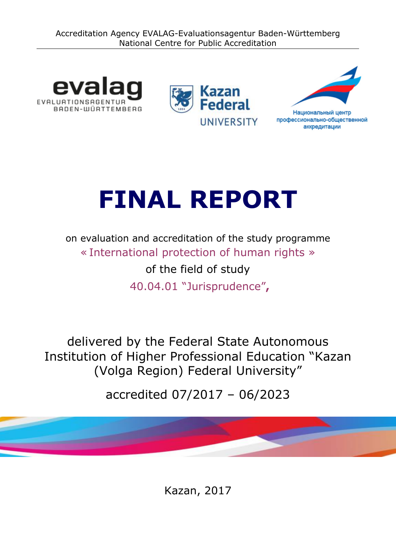





# **FINAL REPORT**

on evaluation and accreditation of the study programme « International protection of human rights » of the field of study 40.04.01 "Jurisprudence"**,**

delivered by the Federal State Autonomous Institution of Higher Professional Education "Kazan (Volga Region) Federal University"

accredited 07/2017 – 06/2023

Kazan, 2017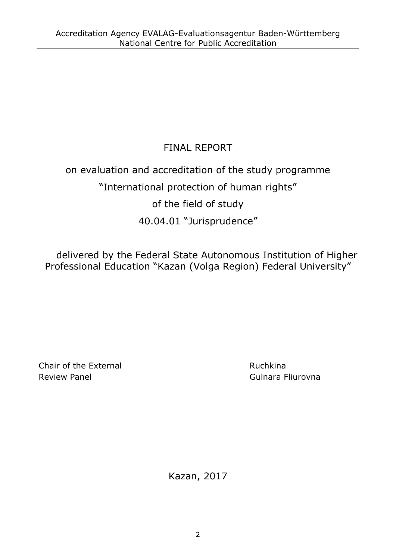# FINAL REPORT

# on evaluation and accreditation of the study programme "International protection of human rights" of the field of study 40.04.01 "Jurisprudence"

delivered by the Federal State Autonomous Institution of Higher Professional Education "Kazan (Volga Region) Federal University"

Chair of the External **Ruchair** Chair of the External Review Panel **Gulnara Fliurovna** 

Kazan, 2017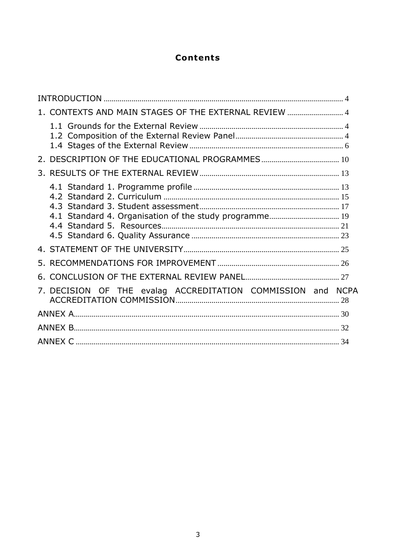# **Contents**

| 1. CONTEXTS AND MAIN STAGES OF THE EXTERNAL REVIEW  4  |             |
|--------------------------------------------------------|-------------|
|                                                        |             |
|                                                        |             |
|                                                        |             |
| 4.1 Standard 4. Organisation of the study programme 19 |             |
|                                                        |             |
|                                                        |             |
|                                                        |             |
| 7. DECISION OF THE evalag ACCREDITATION COMMISSION and | <b>NCPA</b> |
|                                                        |             |
|                                                        |             |
|                                                        |             |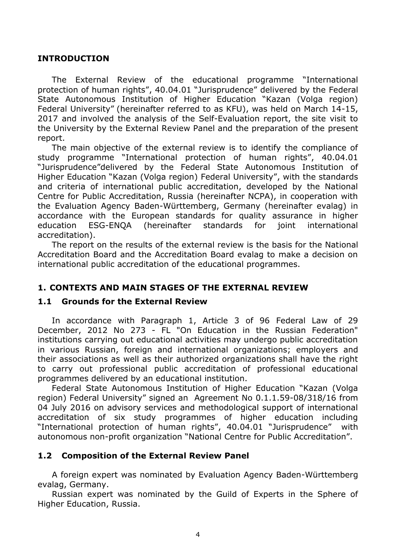#### <span id="page-3-0"></span>**INTRODUCTION**

The External Review of the educational programme "International protection of human rights", 40.04.01 "Jurisprudence" delivered by the Federal State Autonomous Institution of Higher Education "Kazan (Volga region) Federal University" (hereinafter referred to as KFU), was held on March 14-15, 2017 and involved the analysis of the Self-Evaluation report, the site visit to the University by the External Review Panel and the preparation of the present report.

The main objective of the external review is to identify the compliance of study programme "International protection of human rights", 40.04.01 "Jurisprudence"delivered by the Federal State Autonomous Institution of Higher Education "Kazan (Volga region) Federal University", with the standards and criteria of international public accreditation, developed by the National Centre for Public Accreditation, Russia (hereinafter NCPA), in cooperation with the Evaluation Agency Baden-Württemberg, Germany (hereinafter evalag) in accordance with the European standards for quality assurance in higher education ESG-ENQA (hereinafter standards for joint international accreditation).

The report on the results of the external review is the basis for the National Accreditation Board and the Accreditation Board evalag to make a decision on international public accreditation of the educational programmes.

#### <span id="page-3-1"></span>**1. CONTEXTS AND MAIN STAGES OF THE EXTERNAL REVIEW**

#### <span id="page-3-2"></span>**1.1 Grounds for the External Review**

In accordance with Paragraph 1, Article 3 of 96 Federal Law of 29 December, 2012 No 273 - FL "On Education in the Russian Federation" institutions carrying out educational activities may undergo public accreditation in various Russian, foreign and international organizations; employers and their associations as well as their authorized organizations shall have the right to carry out professional public accreditation of professional educational programmes delivered by an educational institution.

Federal State Autonomous Institution of Higher Education "Kazan (Volga region) Federal University" signed an Agreement No 0.1.1.59-08/318/16 from 04 July 2016 on advisory services and methodological support of international accreditation of six study programmes of higher education including "International protection of human rights", 40.04.01 "Jurisprudence" with autonomous non-profit organization "National Centre for Public Accreditation".

#### <span id="page-3-3"></span>**1.2 Composition of the External Review Panel**

A foreign expert was nominated by Evaluation Agency Baden-Württemberg evalag, Germany.

Russian expert was nominated by the Guild of Experts in the Sphere of Higher Education, Russia.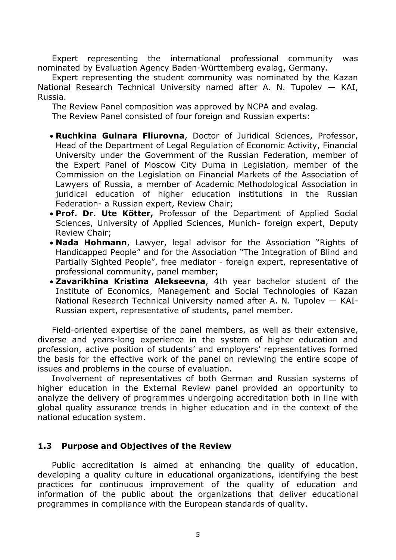Expert representing the international professional community was nominated by Evaluation Agency Baden-Württemberg evalag, Germany.

Expert representing the student community was nominated by the Kazan National Research Technical University named after A. N. Tupolev — KAI, Russia.

The Review Panel composition was approved by NCPA and evalag.

The Review Panel consisted of four foreign and Russian experts:

- **Ruchkina Gulnara Fliurovna**, Doctor of Juridical Sciences, Professor, Head of the Department of Legal Regulation of Economic Activity, Financial University under the Government of the Russian Federation, member of the Expert Panel of Moscow City Duma in Legislation, member of the Commission on the Legislation on Financial Markets of the Association of Lawyers of Russia, a member of Academic Methodological Association in juridical education of higher education institutions in the Russian Federation- a Russian expert, Review Chair;
- **Prof. Dr. Ute Kötter,** Professor of the Department of Applied Social Sciences, University of Applied Sciences, Munich- foreign expert, Deputy Review Chair;
- **Nada Hohmann**, Lawyer, legal advisor for the Association "Rights of Handicapped People" and for the Association "The Integration of Blind and Partially Sighted People", free mediator - foreign expert, representative of professional community, panel member;
- **Zavarikhina Kristina Alekseevna**, 4th year bachelor student of the Institute of Economics, Management and Social Technologies of Kazan National Research Technical University named after A. N. Tupolev — KAI-Russian expert, representative of students, panel member.

Field-oriented expertise of the panel members, as well as their extensive, diverse and years-long experience in the system of higher education and profession, active position of students' and employers' representatives formed the basis for the effective work of the panel on reviewing the entire scope of issues and problems in the course of evaluation.

Involvement of representatives of both German and Russian systems of higher education in the External Review panel provided an opportunity to analyze the delivery of programmes undergoing accreditation both in line with global quality assurance trends in higher education and in the context of the national education system.

#### **1.3 Purpose and Objectives of the Review**

Public accreditation is aimed at enhancing the quality of education, developing a quality culture in educational organizations, identifying the best practices for continuous improvement of the quality of education and information of the public about the organizations that deliver educational programmes in compliance with the European standards of quality.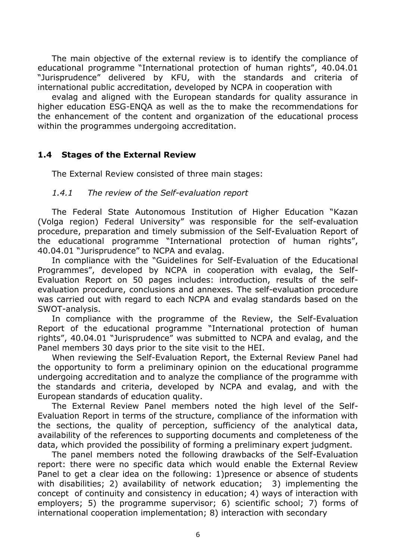The main objective of the external review is to identify the compliance of educational programme "International protection of human rights", 40.04.01 "Jurisprudence" delivered by KFU, with the standards and criteria of international public accreditation, developed by NCPA in cooperation with

evalag and aligned with the European standards for quality assurance in higher education ESG-ENQA as well as the to make the recommendations for the enhancement of the content and organization of the educational process within the programmes undergoing accreditation.

#### <span id="page-5-0"></span>**1.4 Stages of the External Review**

The External Review consisted of three main stages:

#### *1.4.1 The review of the Self-evaluation report*

The Federal State Autonomous Institution of Higher Education "Kazan (Volga region) Federal University" was responsible for the self-evaluation procedure, preparation and timely submission of the Self-Evaluation Report of the educational programme "International protection of human rights", 40.04.01 "Jurisprudence" to NCPA and evalag.

In compliance with the "Guidelines for Self-Evaluation of the Educational Programmes", developed by NCPA in cooperation with evalag, the Self-Evaluation Report on 50 pages includes: introduction, results of the selfevaluation procedure, conclusions and annexes. The self-evaluation procedure was carried out with regard to each NCPA and evalag standards based on the SWOT-analysis.

In compliance with the programme of the Review, the Self-Evaluation Report of the educational programme "International protection of human rights", 40.04.01 "Jurisprudence" was submitted to NCPA and evalag, and the Panel members 30 days prior to the site visit to the HEI.

When reviewing the Self-Evaluation Report, the External Review Panel had the opportunity to form a preliminary opinion on the educational programme undergoing accreditation and to analyze the compliance of the programme with the standards and criteria, developed by NCPA and evalag, and with the European standards of education quality.

The External Review Panel members noted the high level of the Self-Evaluation Report in terms of the structure, compliance of the information with the sections, the quality of perception, sufficiency of the analytical data, availability of the references to supporting documents and completeness of the data, which provided the possibility of forming a preliminary expert judgment.

The panel members noted the following drawbacks of the Self-Evaluation report: there were no specific data which would enable the External Review Panel to get a clear idea on the following: 1)presence or absence of students with disabilities; 2) availability of network education; 3) implementing the concept of continuity and consistency in education; 4) ways of interaction with employers; 5) the programme supervisor; 6) scientific school; 7) forms of international cooperation implementation; 8) interaction with secondary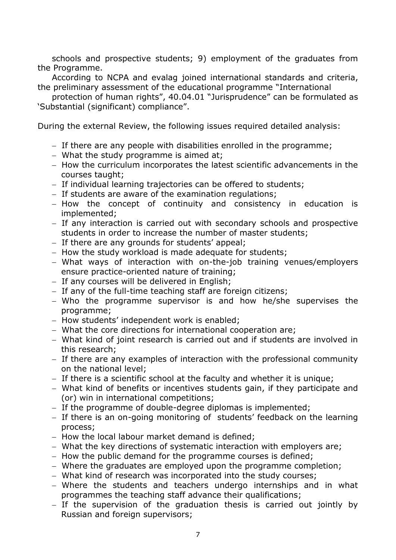schools and prospective students; 9) employment of the graduates from the Programme.

According to NCPA and evalag joined international standards and criteria, the preliminary assessment of the educational programme "International

protection of human rights", 40.04.01 "Jurisprudence" can be formulated as 'Substantial (significant) compliance".

During the external Review, the following issues required detailed analysis:

- $-$  If there are any people with disabilities enrolled in the programme;
- What the study programme is aimed at;
- How the curriculum incorporates the latest scientific advancements in the courses taught;
- If individual learning trajectories can be offered to students;
- $-$  If students are aware of the examination regulations;
- How the concept of continuity and consistency in education is implemented;
- If any interaction is carried out with secondary schools and prospective students in order to increase the number of master students;
- $-$  If there are any grounds for students' appeal;
- How the study workload is made adequate for students;
- What ways of interaction with on-the-job training venues/employers ensure practice-oriented nature of training;
- If any courses will be delivered in English;
- $-$  If any of the full-time teaching staff are foreign citizens;
- Who the programme supervisor is and how he/she supervises the programme;
- How students' independent work is enabled;
- What the core directions for international cooperation are;
- What kind of joint research is carried out and if students are involved in this research;
- If there are any examples of interaction with the professional community on the national level;
- If there is a scientific school at the faculty and whether it is unique;
- What kind of benefits or incentives students gain, if they participate and (or) win in international competitions;
- If the programme of double-degree diplomas is implemented;
- If there is an on-going monitoring of students' feedback on the learning process;
- How the local labour market demand is defined;
- What the key directions of systematic interaction with employers are;
- How the public demand for the programme courses is defined;
- Where the graduates are employed upon the programme completion;
- What kind of research was incorporated into the study courses;
- Where the students and teachers undergo internships and in what programmes the teaching staff advance their qualifications;
- If the supervision of the graduation thesis is carried out jointly by Russian and foreign supervisors;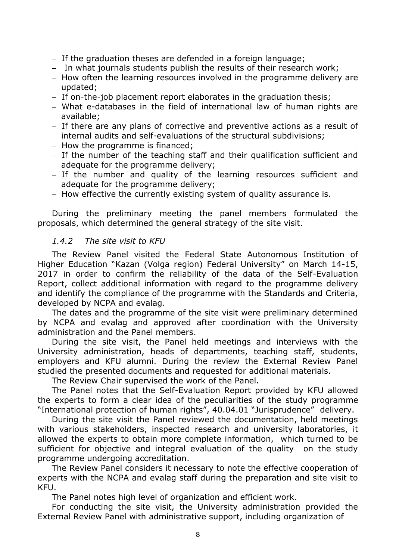- $-$  If the graduation theses are defended in a foreign language;
- In what journals students publish the results of their research work;
- How often the learning resources involved in the programme delivery are updated;
- If on-the-job placement report elaborates in the graduation thesis;
- What e-databases in the field of international law of human rights are available;
- If there are any plans of corrective and preventive actions as a result of internal audits and self-evaluations of the structural subdivisions;
- $-$  How the programme is financed;
- If the number of the teaching staff and their qualification sufficient and adequate for the programme delivery;
- If the number and quality of the learning resources sufficient and adequate for the programme delivery;
- How effective the currently existing system of quality assurance is.

During the preliminary meeting the panel members formulated the proposals, which determined the general strategy of the site visit.

#### *1.4.2 The site visit to KFU*

The Review Panel visited the Federal State Autonomous Institution of Higher Education "Kazan (Volga region) Federal University" on March 14-15, 2017 in order to confirm the reliability of the data of the Self-Evaluation Report, collect additional information with regard to the programme delivery and identify the compliance of the programme with the Standards and Criteria, developed by NCPA and evalag.

The dates and the programme of the site visit were preliminary determined by NCPA and evalag and approved after coordination with the University administration and the Panel members.

During the site visit, the Panel held meetings and interviews with the University administration, heads of departments, teaching staff, students, employers and KFU alumni. During the review the External Review Panel studied the presented documents and requested for additional materials.

The Review Chair supervised the work of the Panel.

The Panel notes that the Self-Evaluation Report provided by KFU allowed the experts to form a clear idea of the peculiarities of the study programme "International protection of human rights", 40.04.01 "Jurisprudence" delivery.

During the site visit the Panel reviewed the documentation, held meetings with various stakeholders, inspected research and university laboratories, it allowed the experts to obtain more complete information, which turned to be sufficient for objective and integral evaluation of the quality on the study programme undergoing accreditation.

The Review Panel considers it necessary to note the effective cooperation of experts with the NCPA and evalag staff during the preparation and site visit to KFU.

The Panel notes high level of organization and efficient work.

For conducting the site visit, the University administration provided the External Review Panel with administrative support, including organization of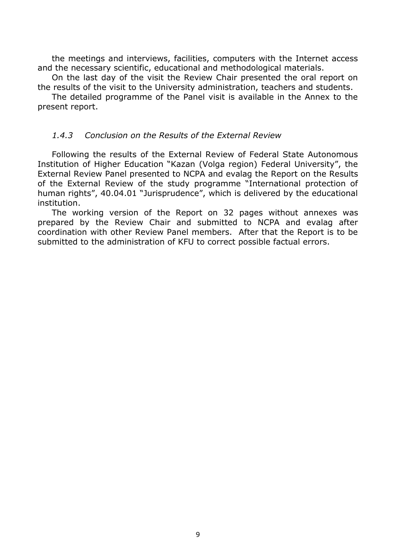the meetings and interviews, facilities, computers with the Internet access and the necessary scientific, educational and methodological materials.

On the last day of the visit the Review Chair presented the oral report on the results of the visit to the University administration, teachers and students.

The detailed programme of the Panel visit is available in the Annex to the present report.

#### *1.4.3 Conclusion on the Results of the External Review*

Following the results of the External Review of Federal State Autonomous Institution of Higher Education "Kazan (Volga region) Federal University", the External Review Panel presented to NCPA and evalag the Report on the Results of the External Review of the study programme "International protection of human rights", 40.04.01 "Jurisprudence", which is delivered by the educational institution.

The working version of the Report on 32 pages without annexes was prepared by the Review Chair and submitted to NCPA and evalag after coordination with other Review Panel members. After that the Report is to be submitted to the administration of KFU to correct possible factual errors.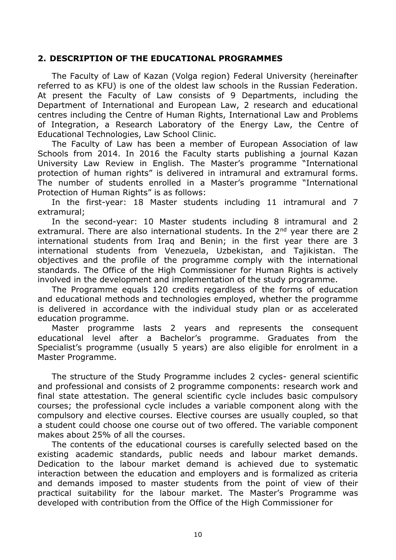#### <span id="page-9-0"></span>**2. DESCRIPTION OF THE EDUCATIONAL PROGRAMMES**

The Faculty of Law of Kazan (Volga region) Federal University (hereinafter referred to as KFU) is one of the oldest law schools in the Russian Federation. At present the Faculty of Law consists of 9 Departments, including the Department of International and European Law, 2 research and educational centres including the Centre of Human Rights, International Law and Problems of Integration, a Research Laboratory of the Energy Law, the Centre of Educational Technologies, Law School Clinic.

The Faculty of Law has been a member of European Association of law Schools from 2014. In 2016 the Faculty starts publishing a journal Kazan University Law Review in English. The Master's programme "International protection of human rights" is delivered in intramural and extramural forms. The number of students enrolled in a Master's programme "International Protection of Human Rights" is as follows:

In the first-year: 18 Master students including 11 intramural and 7 extramural;

In the second-year: 10 Master students including 8 intramural and 2 extramural. There are also international students. In the  $2<sup>nd</sup>$  year there are 2 international students from Iraq and Benin; in the first year there are 3 international students from Venezuela, Uzbekistan, and Tajikistan. The objectives and the profile of the programme comply with the international standards. The Office of the High Commissioner for Human Rights is actively involved in the development and implementation of the study programme.

The Programme equals 120 credits regardless of the forms of education and educational methods and technologies employed, whether the programme is delivered in accordance with the individual study plan or as accelerated education programme.

Master programme lasts 2 years and represents the consequent educational level after a Bachelor's programme. Graduates from the Specialist's programme (usually 5 years) are also eligible for enrolment in a Master Programme.

The structure of the Study Programme includes 2 cycles- general scientific and professional and consists of 2 programme components: research work and final state attestation. The general scientific cycle includes basic compulsory courses; the professional cycle includes a variable component along with the compulsory and elective courses. Elective courses are usually coupled, so that a student could choose one course out of two offered. The variable component makes about 25% of all the courses.

The contents of the educational courses is carefully selected based on the existing academic standards, public needs and labour market demands. Dedication to the labour market demand is achieved due to systematic interaction between the education and employers and is formalized as criteria and demands imposed to master students from the point of view of their practical suitability for the labour market. The Master's Programme was developed with contribution from the Office of the High Commissioner for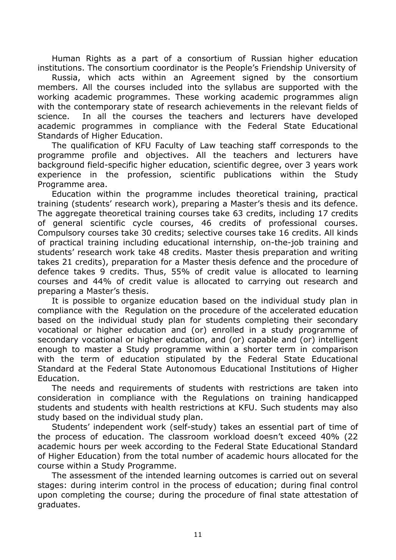Human Rights as a part of a consortium of Russian higher education institutions. The consortium coordinator is the People's Friendship University of

Russia, which acts within an Agreement signed by the consortium members. All the courses included into the syllabus are supported with the working academic programmes. These working academic programmes align with the contemporary state of research achievements in the relevant fields of science. In all the courses the teachers and lecturers have developed academic programmes in compliance with the Federal State Educational Standards of Higher Education.

The qualification of KFU Faculty of Law teaching staff corresponds to the programme profile and objectives. All the teachers and lecturers have background field-specific higher education, scientific degree, over 3 years work experience in the profession, scientific publications within the Study Programme area.

Education within the programme includes theoretical training, practical training (students' research work), preparing a Master's thesis and its defence. The aggregate theoretical training courses take 63 credits, including 17 credits of general scientific cycle courses, 46 credits of professional courses. Compulsory courses take 30 credits; selective courses take 16 credits. All kinds of practical training including educational internship, on-the-job training and students' research work take 48 credits. Master thesis preparation and writing takes 21 credits), preparation for a Master thesis defence and the procedure of defence takes 9 credits. Thus, 55% of credit value is allocated to learning courses and 44% of credit value is allocated to carrying out research and preparing a Master's thesis.

It is possible to organize education based on the individual study plan in compliance with the Regulation on the procedure of the accelerated education based on the individual study plan for students completing their secondary vocational or higher education and (or) enrolled in a study programme of secondary vocational or higher education, and (or) capable and (or) intelligent enough to master a Study programme within a shorter term in comparison with the term of education stipulated by the Federal State Educational Standard at the Federal State Autonomous Educational Institutions of Higher Education.

The needs and requirements of students with restrictions are taken into consideration in compliance with the Regulations on training handicapped students and students with health restrictions at KFU. Such students may also study based on the individual study plan.

Students' independent work (self-study) takes an essential part of time of the process of education. The classroom workload doesn't exceed 40% (22 academic hours per week according to the Federal State Educational Standard of Higher Education) from the total number of academic hours allocated for the course within a Study Programme.

The assessment of the intended learning outcomes is carried out on several stages: during interim control in the process of education; during final control upon completing the course; during the procedure of final state attestation of graduates.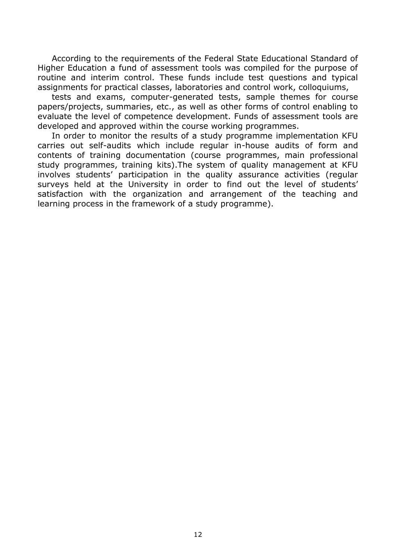According to the requirements of the Federal State Educational Standard of Higher Education a fund of assessment tools was compiled for the purpose of routine and interim control. These funds include test questions and typical assignments for practical classes, laboratories and control work, colloquiums,

tests and exams, computer-generated tests, sample themes for course papers/projects, summaries, etc., as well as other forms of control enabling to evaluate the level of competence development. Funds of assessment tools are developed and approved within the course working programmes.

In order to monitor the results of a study programme implementation KFU carries out self-audits which include regular in-house audits of form and contents of training documentation (course programmes, main professional study programmes, training kits).The system of quality management at KFU involves students' participation in the quality assurance activities (regular surveys held at the University in order to find out the level of students' satisfaction with the organization and arrangement of the teaching and learning process in the framework of a study programme).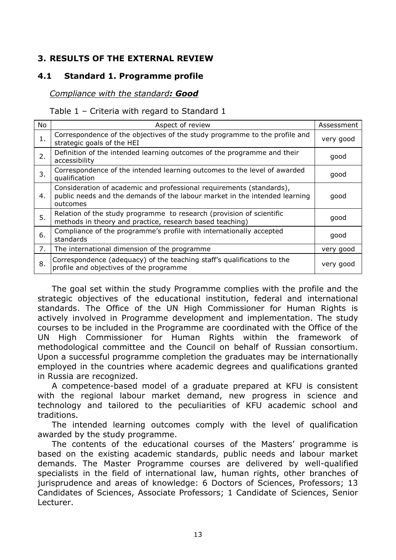# <span id="page-12-0"></span>**3. RESULTS OF THE EXTERNAL REVIEW**

# **4.1 Standard 1. Programme profile**

#### <span id="page-12-1"></span>*Compliance with the standard: Good*

#### Table 1 – Criteria with regard to Standard 1

| No | Aspect of review                                                                                                                                               | Assessment |  |
|----|----------------------------------------------------------------------------------------------------------------------------------------------------------------|------------|--|
| 1. | Correspondence of the objectives of the study programme to the profile and<br>strategic goals of the HEI                                                       |            |  |
| 2. | Definition of the intended learning outcomes of the programme and their<br>accessibility                                                                       |            |  |
| 3. | Correspondence of the intended learning outcomes to the level of awarded<br>qualification                                                                      | good       |  |
| 4. | Consideration of academic and professional requirements (standards),<br>public needs and the demands of the labour market in the intended learning<br>outcomes |            |  |
| 5. | Relation of the study programme to research (provision of scientific<br>methods in theory and practice, research based teaching)                               |            |  |
| 6. | Compliance of the programme's profile with internationally accepted<br>standards                                                                               |            |  |
| 7. | The international dimension of the programme                                                                                                                   |            |  |
| 8. | Correspondence (adequacy) of the teaching staff's qualifications to the<br>profile and objectives of the programme                                             | very good  |  |

The goal set within the study Programme complies with the profile and the strategic objectives of the educational institution, federal and international standards. The Office of the UN High Commissioner for Human Rights is actively involved in Programme development and implementation. The study courses to be included in the Programme are coordinated with the Office of the UN High Commissioner for Human Rights within the framework of methodological committee and the Council on behalf of Russian consortium. Upon a successful programme completion the graduates may be internationally employed in the countries where academic degrees and qualifications granted in Russia are recognized.

A competence-based model of a graduate prepared at KFU is consistent with the regional labour market demand, new progress in science and technology and tailored to the peculiarities of KFU academic school and traditions.

The intended learning outcomes comply with the level of qualification awarded by the study programme.

The contents of the educational courses of the Masters' programme is based on the existing academic standards, public needs and labour market demands. The Master Programme courses are delivered by well-qualified specialists in the field of international law, human rights, other branches of jurisprudence and areas of knowledge: 6 Doctors of Sciences, Professors; 13 Candidates of Sciences, Associate Professors; 1 Candidate of Sciences, Senior Lecturer.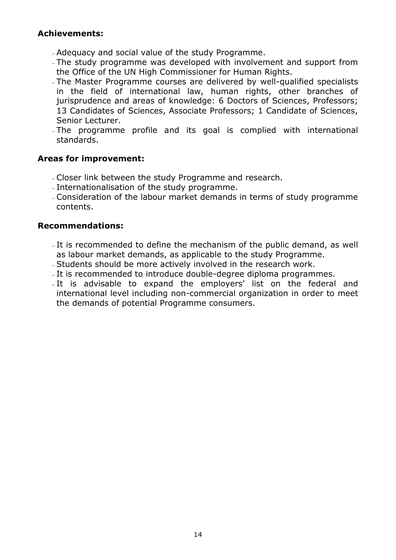# **Achievements:**

- Adequacy and social value of the study Programme.
- The study programme was developed with involvement and support from the Office of the UN High Commissioner for Human Rights.
- The Master Programme courses are delivered by well-qualified specialists in the field of international law, human rights, other branches of jurisprudence and areas of knowledge: 6 Doctors of Sciences, Professors; 13 Candidates of Sciences, Associate Professors; 1 Candidate of Sciences, Senior Lecturer.
- The programme profile and its goal is complied with international standards.

#### **Areas for improvement:**

- Closer link between the study Programme and research.
- Internationalisation of the study programme.
- Consideration of the labour market demands in terms of study programme contents.

#### **Recommendations:**

- It is recommended to define the mechanism of the public demand, as well as labour market demands, as applicable to the study Programme.
- Students should be more actively involved in the research work.
- It is recommended to introduce double-degree diploma programmes.
- It is advisable to expand the employers' list on the federal and international level including non-commercial organization in order to meet the demands of potential Programme consumers.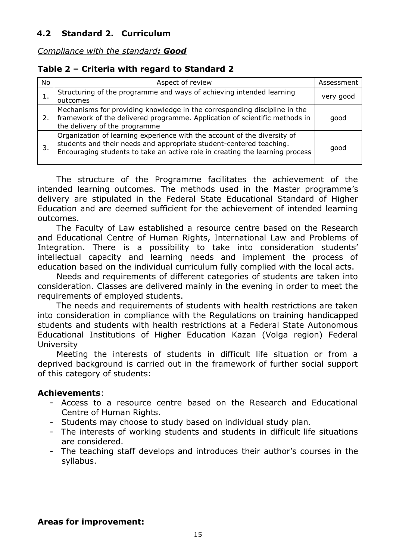<span id="page-14-0"></span>*Compliance with the standard: Good*

# **Table 2 – Criteria with regard to Standard 2**

| No. | Aspect of review                                                                                                                                                                                                                | Assessment |
|-----|---------------------------------------------------------------------------------------------------------------------------------------------------------------------------------------------------------------------------------|------------|
| ı.  | Structuring of the programme and ways of achieving intended learning<br>outcomes                                                                                                                                                |            |
| 2.  | Mechanisms for providing knowledge in the corresponding discipline in the<br>framework of the delivered programme. Application of scientific methods in<br>the delivery of the programme                                        |            |
|     | Organization of learning experience with the account of the diversity of<br>students and their needs and appropriate student-centered teaching.<br>Encouraging students to take an active role in creating the learning process | good       |

The structure of the Programme facilitates the achievement of the intended learning outcomes. The methods used in the Master programme's delivery are stipulated in the Federal State Educational Standard of Higher Education and are deemed sufficient for the achievement of intended learning outcomes.

The Faculty of Law established a resource centre based on the Research and Educational Centre of Human Rights, International Law and Problems of Integration. There is a possibility to take into consideration students' intellectual capacity and learning needs and implement the process of education based on the individual curriculum fully complied with the local acts.

Needs and requirements of different categories of students are taken into consideration. Classes are delivered mainly in the evening in order to meet the requirements of employed students.

The needs and requirements of students with health restrictions are taken into consideration in compliance with the Regulations on training handicapped students and students with health restrictions at a Federal State Autonomous Educational Institutions of Higher Education Kazan (Volga region) Federal University

Meeting the interests of students in difficult life situation or from a deprived background is carried out in the framework of further social support of this category of students:

#### **Achievements**:

- Access to a resource centre based on the Research and Educational Centre of Human Rights.
- Students may choose to study based on individual study plan.
- The interests of working students and students in difficult life situations are considered.
- The teaching staff develops and introduces their author's courses in the syllabus.

#### **Areas for improvement:**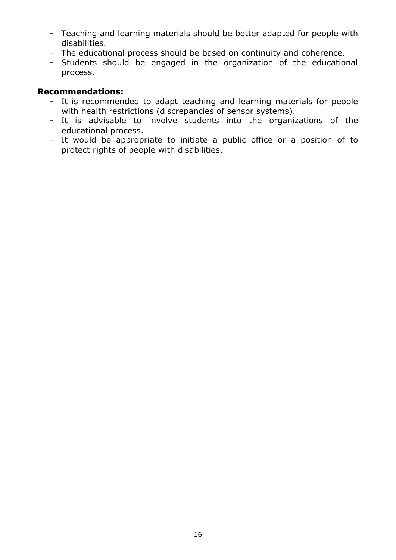- Teaching and learning materials should be better adapted for people with disabilities.
- The educational process should be based on continuity and coherence.
- Students should be engaged in the organization of the educational process.

## **Recommendations:**

- It is recommended to adapt teaching and learning materials for people with health restrictions (discrepancies of sensor systems).
- It is advisable to involve students into the organizations of the educational process.
- It would be appropriate to initiate a public office or a position of to protect rights of people with disabilities.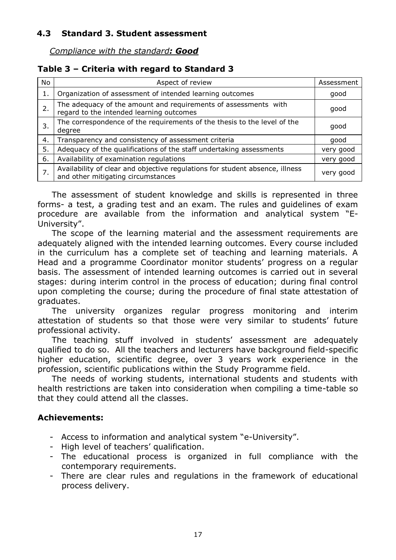# <span id="page-16-0"></span>**4.3 Standard 3. Student assessment**

*Compliance with the standard: Good*

# **Table 3 – Criteria with regard to Standard 3**

| <b>No</b> | Aspect of review                                                                                                   | Assessment |  |  |
|-----------|--------------------------------------------------------------------------------------------------------------------|------------|--|--|
| 1.        | Organization of assessment of intended learning outcomes                                                           |            |  |  |
| 2.        | The adequacy of the amount and requirements of assessments with<br>regard to the intended learning outcomes        |            |  |  |
| 3.        | The correspondence of the requirements of the thesis to the level of the<br>degree                                 |            |  |  |
| 4.        | Transparency and consistency of assessment criteria                                                                |            |  |  |
| 5.        | Adequacy of the qualifications of the staff undertaking assessments                                                | very good  |  |  |
| 6.        | Availability of examination regulations                                                                            | very good  |  |  |
| 7.        | Availability of clear and objective regulations for student absence, illness<br>and other mitigating circumstances | very good  |  |  |

The assessment of student knowledge and skills is represented in three forms- a test, a grading test and an exam. The rules and guidelines of exam procedure are available from the information and analytical system "E-University".

The scope of the learning material and the assessment requirements are adequately aligned with the intended learning outcomes. Every course included in the curriculum has a complete set of teaching and learning materials. A Head and a programme Coordinator monitor students' progress on a regular basis. The assessment of intended learning outcomes is carried out in several stages: during interim control in the process of education; during final control upon completing the course; during the procedure of final state attestation of graduates.

The university organizes regular progress monitoring and interim attestation of students so that those were very similar to students' future professional activity.

The teaching stuff involved in students' assessment are adequately qualified to do so. All the teachers and lecturers have background field-specific higher education, scientific degree, over 3 years work experience in the profession, scientific publications within the Study Programme field.

The needs of working students, international students and students with health restrictions are taken into consideration when compiling a time-table so that they could attend all the classes.

#### **Achievements:**

- Access to information and analytical system "e-University".
- High level of teachers' qualification.
- The educational process is organized in full compliance with the contemporary requirements.
- There are clear rules and regulations in the framework of educational process delivery.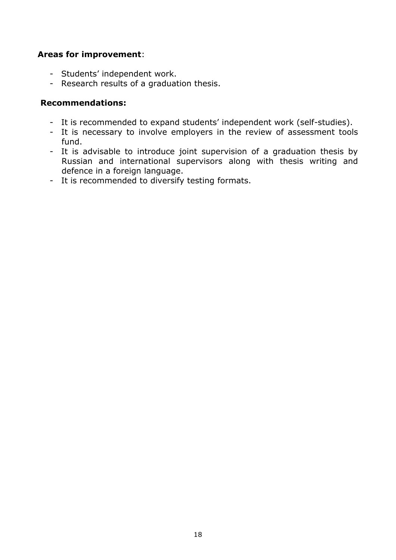# **Areas for improvement**:

- Students' independent work.
- Research results of a graduation thesis.

## **Recommendations:**

- It is recommended to expand students' independent work (self-studies).
- It is necessary to involve employers in the review of assessment tools fund.
- It is advisable to introduce joint supervision of a graduation thesis by Russian and international supervisors along with thesis writing and defence in a foreign language.
- It is recommended to diversify testing formats.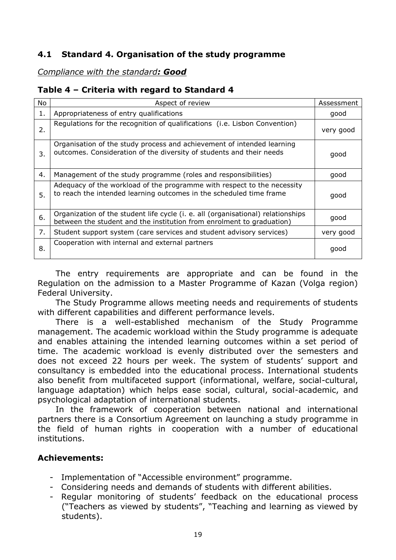# <span id="page-18-0"></span>**4.1 Standard 4. Organisation of the study programme**

## *Compliance with the standard: Good*

# **Table 4 – Criteria with regard to Standard 4**

| No | Aspect of review                                                                                                                                          | Assessment |  |  |
|----|-----------------------------------------------------------------------------------------------------------------------------------------------------------|------------|--|--|
| 1. | Appropriateness of entry qualifications                                                                                                                   |            |  |  |
| 2. | Regulations for the recognition of qualifications (i.e. Lisbon Convention)                                                                                |            |  |  |
| 3. | Organisation of the study process and achievement of intended learning<br>outcomes. Consideration of the diversity of students and their needs            |            |  |  |
| 4. | Management of the study programme (roles and responsibilities)                                                                                            |            |  |  |
| 5. | Adequacy of the workload of the programme with respect to the necessity<br>to reach the intended learning outcomes in the scheduled time frame            | good       |  |  |
| 6. | Organization of the student life cycle (i. e. all (organisational) relationships<br>between the student and the institution from enrolment to graduation) | good       |  |  |
| 7. | Student support system (care services and student advisory services)                                                                                      | very good  |  |  |
| 8. | Cooperation with internal and external partners                                                                                                           | good       |  |  |

The entry requirements are appropriate and can be found in the Regulation on the admission to a Master Programme of Kazan (Volga region) Federal University.

The Study Programme allows meeting needs and requirements of students with different capabilities and different performance levels.

There is a well-established mechanism of the Study Programme management. The academic workload within the Study programme is adequate and enables attaining the intended learning outcomes within a set period of time. The academic workload is evenly distributed over the semesters and does not exceed 22 hours per week. The system of students' support and consultancy is embedded into the educational process. International students also benefit from multifaceted support (informational, welfare, social-cultural, language adaptation) which helps ease social, cultural, social-academic, and psychological adaptation of international students.

In the framework of cooperation between national and international partners there is a Consortium Agreement on launching a study programme in the field of human rights in cooperation with a number of educational institutions.

#### **Achievements:**

- Implementation of "Accessible environment" programme.
- Considering needs and demands of students with different abilities.
- Regular monitoring of students' feedback on the educational process ("Teachers as viewed by students", "Teaching and learning as viewed by students).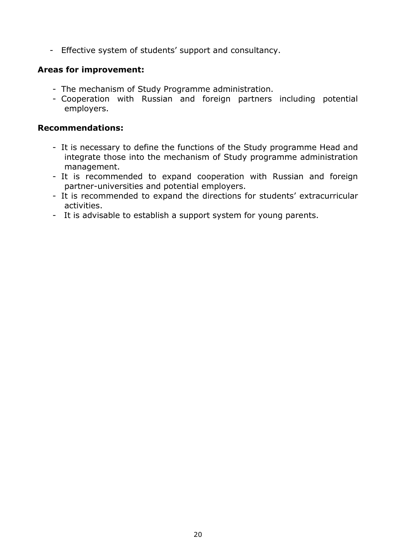- Effective system of students' support and consultancy.

# **Areas for improvement:**

- The mechanism of Study Programme administration.
- Cooperation with Russian and foreign partners including potential employers.

## **Recommendations:**

- It is necessary to define the functions of the Study programme Head and integrate those into the mechanism of Study programme administration management.
- It is recommended to expand cooperation with Russian and foreign partner-universities and potential employers.
- It is recommended to expand the directions for students' extracurricular activities.
- It is advisable to establish a support system for young parents.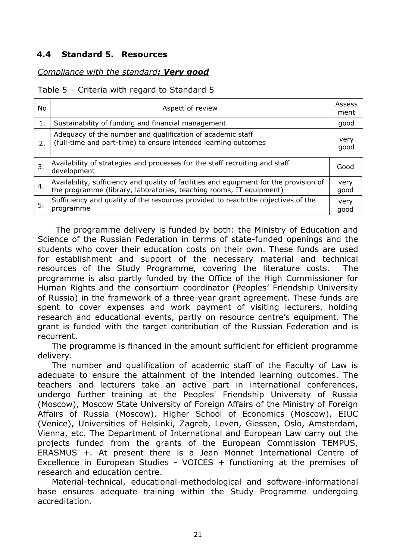# <span id="page-20-0"></span>**4.4 Standard 5. Resources**

# *Compliance with the standard: Very good*

#### Table 5 – Criteria with regard to Standard 5

| No. | Aspect of review                                                                                                                                              |              |
|-----|---------------------------------------------------------------------------------------------------------------------------------------------------------------|--------------|
| 1.  | Sustainability of funding and financial management                                                                                                            | good         |
| 2.  | Adequacy of the number and qualification of academic staff<br>(full-time and part-time) to ensure intended learning outcomes                                  | very<br>good |
| 3.  | Availability of strategies and processes for the staff recruiting and staff<br>development                                                                    | Good         |
| 4.  | Availability, sufficiency and quality of facilities and equipment for the provision of<br>the programme (library, laboratories, teaching rooms, IT equipment) | very<br>good |
| 5.  | Sufficiency and quality of the resources provided to reach the objectives of the<br>programme                                                                 | very<br>good |

The programme delivery is funded by both: the Ministry of Education and Science of the Russian Federation in terms of state-funded openings and the students who cover their education costs on their own. These funds are used for establishment and support of the necessary material and technical resources of the Study Programme, covering the literature costs. The programme is also partly funded by the Office of the High Commissioner for Human Rights and the consortium coordinator (Peoples' Friendship University of Russia) in the framework of a three-year grant agreement. These funds are spent to cover expenses and work payment of visiting lecturers, holding research and educational events, partly on resource centre's equipment. The grant is funded with the target contribution of the Russian Federation and is recurrent.

The programme is financed in the amount sufficient for efficient programme delivery.

The number and qualification of academic staff of the Faculty of Law is adequate to ensure the attainment of the intended learning outcomes. The teachers and lecturers take an active part in international conferences, undergo further training at the Peoples' Friendship University of Russia (Moscow), Moscow State University of Foreign Affairs of the Ministry of Foreign Affairs of Russia (Moscow), Higher School of Economics (Moscow), EIUC (Venice), Universities of Helsinki, Zagreb, Leven, Giessen, Oslo, Amsterdam, Vienna, etc. The Department of International and European Law carry out the projects funded from the grants of the European Commission TEMPUS, ERASMUS +. At present there is a Jean Monnet International Centre of Excellence in European Studies - VOICES + functioning at the premises of research and education centre.

Material-technical, educational-methodological and software-informational base ensures adequate training within the Study Programme undergoing accreditation.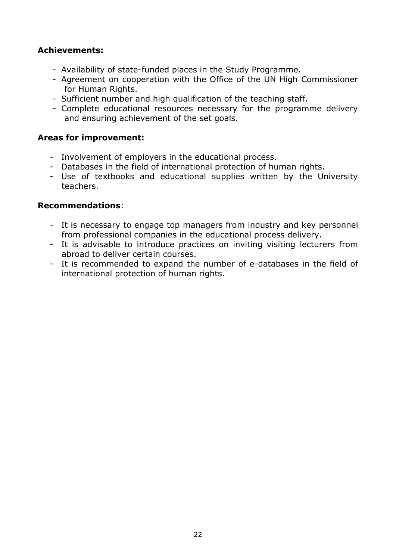# **Achievements:**

- Availability of state-funded places in the Study Programme.
- Agreement on cooperation with the Office of the UN High Commissioner for Human Rights.
- Sufficient number and high qualification of the teaching staff.
- Complete educational resources necessary for the programme delivery and ensuring achievement of the set goals.

#### **Areas for improvement:**

- Involvement of employers in the educational process.
- Databases in the field of international protection of human rights.
- Use of textbooks and educational supplies written by the University teachers.

#### **Recommendations**:

- It is necessary to engage top managers from industry and key personnel from professional companies in the educational process delivery.
- It is advisable to introduce practices on inviting visiting lecturers from abroad to deliver certain courses.
- It is recommended to expand the number of e-databases in the field of international protection of human rights.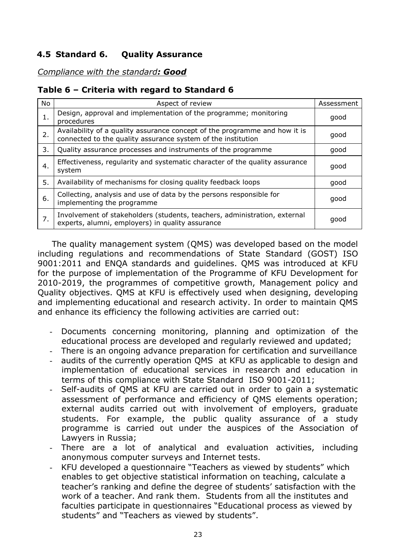# <span id="page-22-0"></span>**4.5 Standard 6. Quality Assurance**

*Compliance with the standard: Good*

# **Table 6 – Criteria with regard to Standard 6**

| No. | Aspect of review                                                                                                                           | Assessment |
|-----|--------------------------------------------------------------------------------------------------------------------------------------------|------------|
| 1.  | Design, approval and implementation of the programme; monitoring<br>procedures                                                             | good       |
| 2.  | Availability of a quality assurance concept of the programme and how it is<br>connected to the quality assurance system of the institution | good       |
| 3.  | Quality assurance processes and instruments of the programme                                                                               | good       |
| 4.  | Effectiveness, regularity and systematic character of the quality assurance<br>system                                                      |            |
| 5.  | Availability of mechanisms for closing quality feedback loops                                                                              | good       |
| 6.  | Collecting, analysis and use of data by the persons responsible for<br>implementing the programme                                          | good       |
| 7.  | Involvement of stakeholders (students, teachers, administration, external<br>experts, alumni, employers) in quality assurance              | good       |

The quality management system (QMS) was developed based on the model including regulations and recommendations of State Standard (GOST) ISO 9001:2011 and ENQA standards and guidelines. QMS was introduced at KFU for the purpose of implementation of the Programme of KFU Development for 2010-2019, the programmes of competitive growth, Management policy and Quality objectives. QMS at KFU is effectively used when designing, developing and implementing educational and research activity. In order to maintain QMS and enhance its efficiency the following activities are carried out:

- Documents concerning monitoring, planning and optimization of the educational process are developed and regularly reviewed and updated;
- There is an ongoing advance preparation for certification and surveillance
- audits of the currently operation QMS at KFU as applicable to design and implementation of educational services in research and education in terms of this compliance with State Standard ISO 9001-2011;
- Self-audits of QMS at KFU are carried out in order to gain a systematic assessment of performance and efficiency of QMS elements operation; external audits carried out with involvement of employers, graduate students. For example, the public quality assurance of a study programme is carried out under the auspices of the Association of Lawyers in Russia;
- There are a lot of analytical and evaluation activities, including anonymous computer surveys and Internet tests.
- KFU developed a questionnaire "Teachers as viewed by students" which enables to get objective statistical information on teaching, calculate a teacher's ranking and define the degree of students' satisfaction with the work of a teacher. And rank them. Students from all the institutes and faculties participate in questionnaires "Educational process as viewed by students" and "Teachers as viewed by students".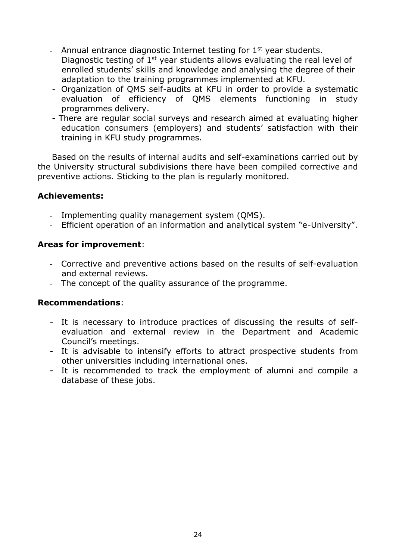- Annual entrance diagnostic Internet testing for  $1<sup>st</sup>$  year students. Diagnostic testing of  $1<sup>st</sup>$  year students allows evaluating the real level of enrolled students' skills and knowledge and analysing the degree of their adaptation to the training programmes implemented at KFU.
- Organization of QMS self-audits at KFU in order to provide a systematic evaluation of efficiency of QMS elements functioning in study programmes delivery.
- There are regular social surveys and research aimed at evaluating higher education consumers (employers) and students' satisfaction with their training in KFU study programmes.

Based on the results of internal audits and self-examinations carried out by the University structural subdivisions there have been compiled corrective and preventive actions. Sticking to the plan is regularly monitored.

# **Achievements:**

- Implementing quality management system (QMS).
- Efficient operation of an information and analytical system "e-University".

#### **Areas for improvement**:

- Corrective and preventive actions based on the results of self-evaluation and external reviews.
- The concept of the quality assurance of the programme.

# **Recommendations**:

- It is necessary to introduce practices of discussing the results of selfevaluation and external review in the Department and Academic Council's meetings.
- It is advisable to intensify efforts to attract prospective students from other universities including international ones.
- It is recommended to track the employment of alumni and compile a database of these jobs.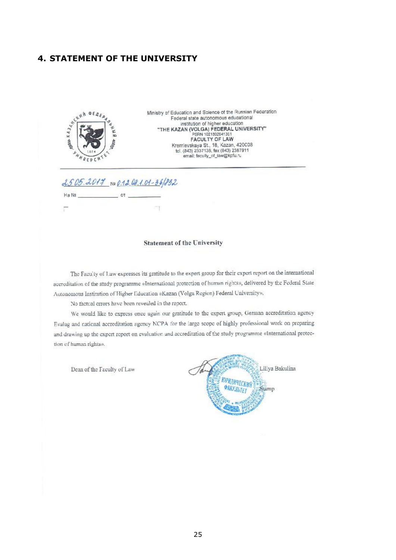#### <span id="page-24-0"></span>**4. STATEMENT OF THE UNIVERSITY**



#### **Statement of the University**

The Faculty of Law expresses its gratitude to the expert group for their expert report on the international accreditation of the study programme «International protection of human rights», delivered by the Federal State Autonomous Institution of Higher Education «Kazan (Volga Region) Federal University».

No factual errors have been revealed in the report.

We would like to express once again our gratitude to the expert group, German accreditation agency Evalug and national accreditation agency NCPA for the large scope of highly professional work on preparing and drawing up the expert report on evaluation and accreditation of the study programme «International protection of human rights».

Dean of the Faculty of Law

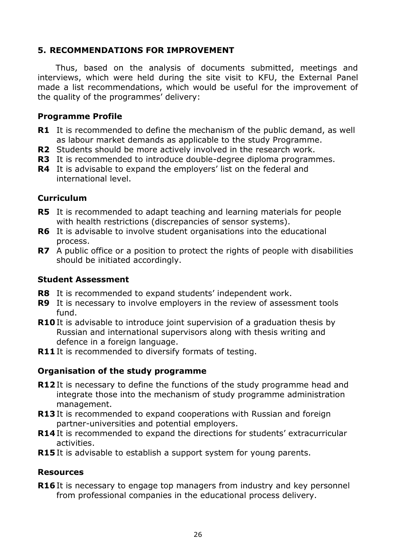# <span id="page-25-0"></span>**5. RECOMMENDATIONS FOR IMPROVEMENT**

Thus, based on the analysis of documents submitted, meetings and interviews, which were held during the site visit to KFU, the External Panel made a list recommendations, which would be useful for the improvement of the quality of the programmes' delivery:

## **Programme Profile**

- **R1** It is recommended to define the mechanism of the public demand, as well as labour market demands as applicable to the study Programme.
- **R2** Students should be more actively involved in the research work.
- **R3** It is recommended to introduce double-degree diploma programmes.
- **R4** It is advisable to expand the employers' list on the federal and international level.

# **Curriculum**

- **R5** It is recommended to adapt teaching and learning materials for people with health restrictions (discrepancies of sensor systems).
- **R6** It is advisable to involve student organisations into the educational process.
- **R7** A public office or a position to protect the rights of people with disabilities should be initiated accordingly.

#### **Student Assessment**

- **R8** It is recommended to expand students' independent work.
- **R9** It is necessary to involve employers in the review of assessment tools fund.
- **R10** It is advisable to introduce joint supervision of a graduation thesis by Russian and international supervisors along with thesis writing and defence in a foreign language.
- **R11** It is recommended to diversify formats of testing.

# **Organisation of the study programme**

- **R12** It is necessary to define the functions of the study programme head and integrate those into the mechanism of study programme administration management.
- **R13** It is recommended to expand cooperations with Russian and foreign partner-universities and potential employers.
- **R14** It is recommended to expand the directions for students' extracurricular activities.
- **R15** It is advisable to establish a support system for young parents.

#### **Resources**

**R16** It is necessary to engage top managers from industry and key personnel from professional companies in the educational process delivery.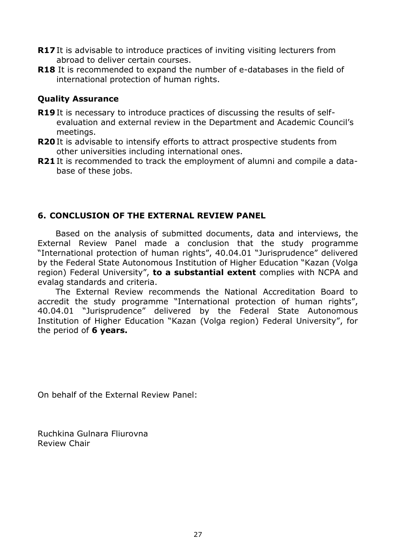- **R17** It is advisable to introduce practices of inviting visiting lecturers from abroad to deliver certain courses.
- **R18** It is recommended to expand the number of e-databases in the field of international protection of human rights.

# **Quality Assurance**

- **R19** It is necessary to introduce practices of discussing the results of selfevaluation and external review in the Department and Academic Council's meetings.
- **R20** It is advisable to intensify efforts to attract prospective students from other universities including international ones.
- **R21** It is recommended to track the employment of alumni and compile a database of these jobs.

# <span id="page-26-0"></span>**6. CONCLUSION OF THE EXTERNAL REVIEW PANEL**

Based on the analysis of submitted documents, data and interviews, the External Review Panel made a conclusion that the study programme "International protection of human rights", 40.04.01 "Jurisprudence" delivered by the Federal State Autonomous Institution of Higher Education "Kazan (Volga region) Federal University", **to a substantial extent** complies with NCPA and evalag standards and criteria.

The External Review recommends the National Accreditation Board to accredit the study programme "International protection of human rights", 40.04.01 "Jurisprudence" delivered by the Federal State Autonomous Institution of Higher Education "Kazan (Volga region) Federal University", for the period of **6 years.**

On behalf of the External Review Panel:

Ruchkina Gulnara Fliurovna Review Chair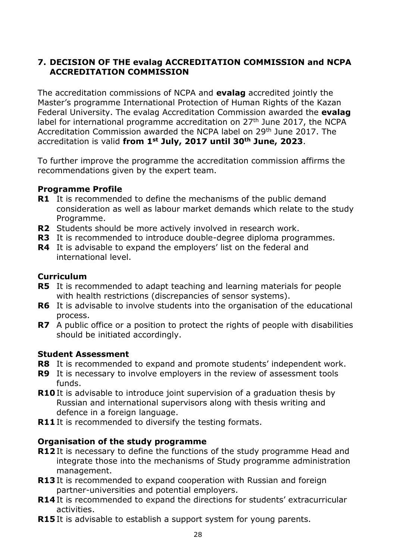# <span id="page-27-0"></span>**7. DECISION OF THE evalag ACCREDITATION COMMISSION and NCPA ACCREDITATION COMMISSION**

The accreditation commissions of NCPA and **evalag** accredited jointly the Master's programme International Protection of Human Rights of the Kazan Federal University. The evalag Accreditation Commission awarded the **evalag** label for international programme accreditation on  $27<sup>th</sup>$  June 2017, the NCPA Accreditation Commission awarded the NCPA label on 29th June 2017. The accreditation is valid **from 1st July, 2017 until 30th June, 2023**.

To further improve the programme the accreditation commission affirms the recommendations given by the expert team.

#### **Programme Profile**

- **R1** It is recommended to define the mechanisms of the public demand consideration as well as labour market demands which relate to the study Programme.
- **R2** Students should be more actively involved in research work.
- **R3** It is recommended to introduce double-degree diploma programmes.
- **R4** It is advisable to expand the employers' list on the federal and international level.

# **Curriculum**

- **R5** It is recommended to adapt teaching and learning materials for people with health restrictions (discrepancies of sensor systems).
- **R6** It is advisable to involve students into the organisation of the educational process.
- **R7** A public office or a position to protect the rights of people with disabilities should be initiated accordingly.

# **Student Assessment**

- **R8** It is recommended to expand and promote students' independent work.
- **R9** It is necessary to involve employers in the review of assessment tools funds.
- **R10** It is advisable to introduce joint supervision of a graduation thesis by Russian and international supervisors along with thesis writing and defence in a foreign language.
- **R11** It is recommended to diversify the testing formats.

# **Organisation of the study programme**

- **R12** It is necessary to define the functions of the study programme Head and integrate those into the mechanisms of Study programme administration management.
- **R13** It is recommended to expand cooperation with Russian and foreign partner-universities and potential employers.
- **R14** It is recommended to expand the directions for students' extracurricular activities.
- **R15** It is advisable to establish a support system for young parents.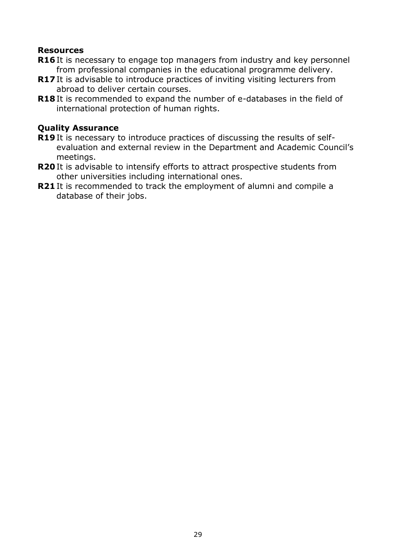#### **Resources**

- **R16** It is necessary to engage top managers from industry and key personnel from professional companies in the educational programme delivery.
- **R17** It is advisable to introduce practices of inviting visiting lecturers from abroad to deliver certain courses.
- **R18** It is recommended to expand the number of e-databases in the field of international protection of human rights.

# **Quality Assurance**

- **R19** It is necessary to introduce practices of discussing the results of selfevaluation and external review in the Department and Academic Council's meetings.
- **R20** It is advisable to intensify efforts to attract prospective students from other universities including international ones.
- **R21** It is recommended to track the employment of alumni and compile a database of their jobs.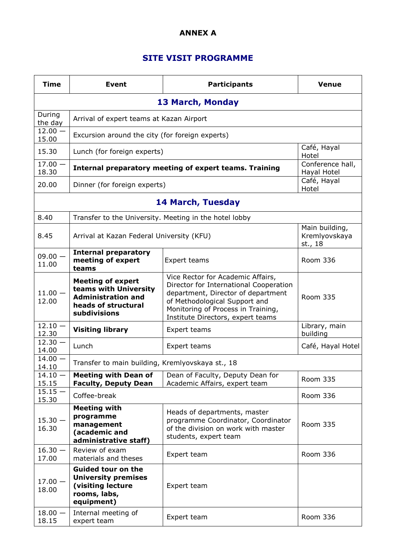#### **ANNEX А**

# **SITE VISIT PROGRAMME**

<span id="page-29-0"></span>

| <b>Time</b>                   | <b>Event</b>                                                                                                          | <b>Participants</b>                                                                                                                                                                                                           | <b>Venue</b>                               |  |  |
|-------------------------------|-----------------------------------------------------------------------------------------------------------------------|-------------------------------------------------------------------------------------------------------------------------------------------------------------------------------------------------------------------------------|--------------------------------------------|--|--|
|                               | <b>13 March, Monday</b>                                                                                               |                                                                                                                                                                                                                               |                                            |  |  |
| During<br>the day             | Arrival of expert teams at Kazan Airport                                                                              |                                                                                                                                                                                                                               |                                            |  |  |
| $12.00 -$<br>15.00            | Excursion around the city (for foreign experts)                                                                       |                                                                                                                                                                                                                               |                                            |  |  |
| 15.30                         | Lunch (for foreign experts)                                                                                           |                                                                                                                                                                                                                               | Café, Hayal<br>Hotel                       |  |  |
| $\overline{17.00}$ -<br>18.30 |                                                                                                                       | Internal preparatory meeting of expert teams. Training                                                                                                                                                                        | Conference hall,<br>Hayal Hotel            |  |  |
| 20.00                         | Dinner (for foreign experts)                                                                                          |                                                                                                                                                                                                                               | Café, Hayal<br>Hotel                       |  |  |
|                               |                                                                                                                       | <b>14 March, Tuesday</b>                                                                                                                                                                                                      |                                            |  |  |
| 8.40                          | Transfer to the University. Meeting in the hotel lobby                                                                |                                                                                                                                                                                                                               |                                            |  |  |
| 8.45                          | Arrival at Kazan Federal University (KFU)                                                                             |                                                                                                                                                                                                                               | Main building,<br>Kremlyovskaya<br>st., 18 |  |  |
| $09.00 -$<br>11.00            | <b>Internal preparatory</b><br>meeting of expert<br>teams                                                             | Expert teams                                                                                                                                                                                                                  | <b>Room 336</b>                            |  |  |
| $11.00 -$<br>12.00            | <b>Meeting of expert</b><br>teams with University<br><b>Administration and</b><br>heads of structural<br>subdivisions | Vice Rector for Academic Affairs,<br>Director for International Cooperation<br>department, Director of department<br>of Methodological Support and<br>Monitoring of Process in Training,<br>Institute Directors, expert teams | <b>Room 335</b>                            |  |  |
| $12.10 -$<br>12.30            | <b>Visiting library</b>                                                                                               | Expert teams                                                                                                                                                                                                                  | Library, main<br>building                  |  |  |
| $12.30 -$<br>14.00            | Lunch                                                                                                                 | Expert teams                                                                                                                                                                                                                  | Café, Hayal Hotel                          |  |  |
| $14.00 -$<br>14.10            | Transfer to main building, Kremlyovskaya st., 18                                                                      |                                                                                                                                                                                                                               |                                            |  |  |
| $14.10 -$<br>15.15            | <b>Meeting with Dean of</b><br><b>Faculty, Deputy Dean</b>                                                            | Dean of Faculty, Deputy Dean for<br>Academic Affairs, expert team                                                                                                                                                             | Room 335                                   |  |  |
| $15.15 -$<br>15.30            | Coffee-break                                                                                                          |                                                                                                                                                                                                                               | Room 336                                   |  |  |
| $15.30 -$<br>16.30            | <b>Meeting with</b><br>programme<br>management<br>(academic and<br>administrative staff)                              | Heads of departments, master<br>programme Coordinator, Coordinator<br>of the division on work with master<br>students, expert team                                                                                            | Room 335                                   |  |  |
| $16.30 -$<br>17.00            | Review of exam<br>materials and theses                                                                                | Expert team                                                                                                                                                                                                                   | Room 336                                   |  |  |
| $17.00 -$<br>18.00            | <b>Guided tour on the</b><br><b>University premises</b><br>(visiting lecture<br>rooms, labs,<br>equipment)            | Expert team                                                                                                                                                                                                                   |                                            |  |  |
| $18.00 -$<br>18.15            | Internal meeting of<br>expert team                                                                                    | Expert team                                                                                                                                                                                                                   | Room 336                                   |  |  |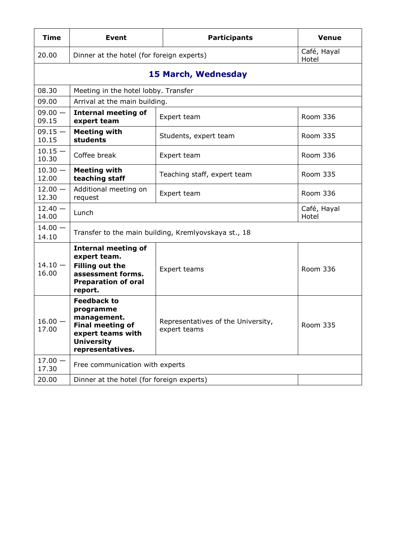| <b>Time</b>        | <b>Event</b>                                                                                                                            | <b>Participants</b>                                | <b>Venue</b>         |
|--------------------|-----------------------------------------------------------------------------------------------------------------------------------------|----------------------------------------------------|----------------------|
| 20.00              | Dinner at the hotel (for foreign experts)                                                                                               |                                                    | Café, Hayal<br>Hotel |
|                    |                                                                                                                                         | <b>15 March, Wednesday</b>                         |                      |
| 08.30              | Meeting in the hotel lobby. Transfer                                                                                                    |                                                    |                      |
| 09.00              | Arrival at the main building.                                                                                                           |                                                    |                      |
| $09.00 -$<br>09.15 | <b>Internal meeting of</b><br>expert team                                                                                               | Expert team                                        | Room 336             |
| $09.15 -$<br>10.15 | <b>Meeting with</b><br>students                                                                                                         | Students, expert team                              | Room 335             |
| $10.15 -$<br>10.30 | Coffee break                                                                                                                            | Expert team                                        | Room 336             |
| $10.30 -$<br>12.00 | <b>Meeting with</b><br>teaching staff                                                                                                   | Teaching staff, expert team                        | Room 335             |
| $12.00 -$<br>12.30 | Additional meeting on<br>request                                                                                                        | Expert team                                        | Room 336             |
| $12.40 -$<br>14.00 | Lunch                                                                                                                                   |                                                    | Café, Hayal<br>Hotel |
| $14.00 -$<br>14.10 | Transfer to the main building, Kremlyovskaya st., 18                                                                                    |                                                    |                      |
| $14.10 -$<br>16.00 | <b>Internal meeting of</b><br>expert team.<br><b>Filling out the</b><br>assessment forms.<br><b>Preparation of oral</b><br>report.      | Expert teams                                       | Room 336             |
| $16.00 -$<br>17.00 | <b>Feedback to</b><br>programme<br>management.<br><b>Final meeting of</b><br>expert teams with<br><b>University</b><br>representatives. | Representatives of the University,<br>expert teams | Room 335             |
| $17.00 -$<br>17.30 | Free communication with experts                                                                                                         |                                                    |                      |
| 20.00              | Dinner at the hotel (for foreign experts)                                                                                               |                                                    |                      |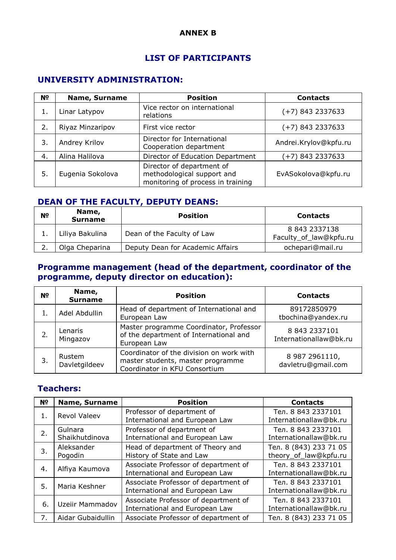#### **ANNEX B**

#### **LIST OF PARTICIPANTS**

# <span id="page-31-0"></span>**UNIVERSITY ADMINISTRATION:**

| N <sub>2</sub> | <b>Name, Surname</b> | <b>Position</b>                                                                              | <b>Contacts</b>       |
|----------------|----------------------|----------------------------------------------------------------------------------------------|-----------------------|
|                | Linar Latypov        | Vice rector on international<br>relations                                                    | $(+7)$ 843 2337633    |
| 2.             | Riyaz Minzaripov     | First vice rector                                                                            | $(+7)$ 843 2337633    |
| 3.             | Andrey Krilov        | Director for International<br>Cooperation department                                         | Andrei.Krylov@kpfu.ru |
| 4.             | Alina Halilova       | Director of Education Department                                                             | $(+7)$ 843 2337633    |
| 5.             | Eugenia Sokolova     | Director of department of<br>methodological support and<br>monitoring of process in training | EvASokolova@kpfu.ru   |

# **DEAN OF THE FACULTY, DEPUTY DEANS:**

| N <sub>2</sub> | Name,<br><b>Surname</b> | <b>Position</b>                  | <b>Contacts</b>                         |
|----------------|-------------------------|----------------------------------|-----------------------------------------|
|                | Liliya Bakulina         | Dean of the Faculty of Law       | 8 843 2337138<br>Faculty_of_law@kpfu.ru |
|                | Olga Cheparina          | Deputy Dean for Academic Affairs | ochepari@mail.ru                        |

## **Programme management (head of the department, coordinator of the programme, deputy director on education):**

| N <sub>o</sub> | Name,<br><b>Surname</b> | <b>Position</b>                                                                                                | <b>Contacts</b>                         |
|----------------|-------------------------|----------------------------------------------------------------------------------------------------------------|-----------------------------------------|
|                | Adel Abdullin           | Head of department of International and<br>European Law                                                        | 89172850979<br>tbochina@yandex.ru       |
|                | Lenaris<br>Mingazov     | Master programme Coordinator, Professor<br>of the department of International and<br>European Law              | 8 843 2337101<br>Internationallaw@bk.ru |
|                | Rustem<br>Davletgildeev | Coordinator of the division on work with<br>master students, master programme<br>Coordinator in KFU Consortium | 8 987 2961110,<br>davletru@gmail.com    |

## **Teachers:**

| N <sub>2</sub> | <b>Name, Surname</b>      | <b>Position</b>                                                        | <b>Contacts</b>                                 |
|----------------|---------------------------|------------------------------------------------------------------------|-------------------------------------------------|
| 1.             | Revol Valeev              | Professor of department of<br>International and European Law           | Тел. 8 843 2337101<br>Internationallaw@bk.ru    |
| 2.             | Gulnara<br>Shaikhutdinova | Professor of department of<br>International and European Law           | Тел. 8 843 2337101<br>Internationallaw@bk.ru    |
| 3.             | Aleksander<br>Pogodin     | Head of department of Theory and<br>History of State and Law           | Тел. 8 (843) 233 71 05<br>theory_of_law@kpfu.ru |
| 4.             | Alfiya Kaumova            | Associate Professor of department of<br>International and European Law | Тел. 8 843 2337101<br>Internationallaw@bk.ru    |
| 5.             | Maria Keshner             | Associate Professor of department of<br>International and European Law | Тел. 8 843 2337101<br>Internationallaw@bk.ru    |
| 6.             | Uzeiir Mammadov           | Associate Professor of department of<br>International and European Law | Тел. 8 843 2337101<br>Internationallaw@bk.ru    |
| 7.             | Aidar Gubaidullin         | Associate Professor of department of                                   | Тел. 8 (843) 233 71 05                          |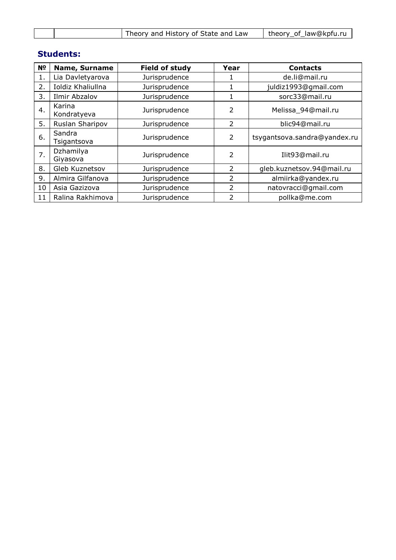| Theory and History of State and Law | theory of law@kpfu.ru |
|-------------------------------------|-----------------------|
|                                     |                       |

# **Students:**

| N <sub>2</sub>  | <b>Name, Surname</b>  | <b>Field of study</b> | Year           | <b>Contacts</b>              |  |
|-----------------|-----------------------|-----------------------|----------------|------------------------------|--|
| 1.              | Lia Davletyarova      | Jurisprudence         |                | de.li@mail.ru                |  |
| 2.              | Ioldiz Khaliullna     | Jurisprudence         |                | juldiz1993@gmail.com         |  |
| 3.              | Ilmir Abzalov         | Jurisprudence         | 1              | sorc33@mail.ru               |  |
| 4.              | Karina<br>Kondratyeva | Jurisprudence         | 2              | Melissa_94@mail.ru           |  |
| 5.              | Ruslan Sharipov       | Jurisprudence         | 2              | blic94@mail.ru               |  |
| 6.              | Sandra<br>Tsigantsova | Jurisprudence         | $\overline{2}$ | tsygantsova.sandra@yandex.ru |  |
| 7.              | Dzhamilya<br>Giyasova | Jurisprudence         | 2              | Ilit93@mail.ru               |  |
| 8.              | Gleb Kuznetsov        | Jurisprudence         | $\overline{2}$ | gleb.kuznetsov.94@mail.ru    |  |
| 9.              | Almira Gilfanova      | Jurisprudence         | $\mathcal{P}$  | almiirka@yandex.ru           |  |
| 10              | Asia Gazizova         | Jurisprudence         | $\overline{2}$ | natovracci@gmail.com         |  |
| 11 <sub>1</sub> | Ralina Rakhimova      | Jurisprudence         | 2              | pollka@me.com                |  |